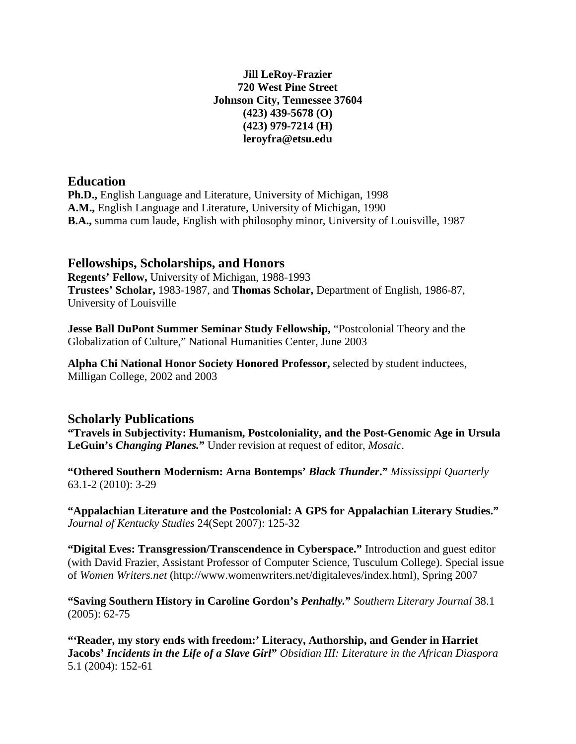### **Jill LeRoy-Frazier 720 West Pine Street Johnson City, Tennessee 37604 (423) 439-5678 (O) (423) 979-7214 (H) leroyfra@etsu.edu**

## **Education**

**Ph.D.,** English Language and Literature, University of Michigan, 1998 **A.M.,** English Language and Literature, University of Michigan, 1990 **B.A.,** summa cum laude, English with philosophy minor, University of Louisville, 1987

## **Fellowships, Scholarships, and Honors**

**Regents' Fellow,** University of Michigan, 1988-1993 **Trustees' Scholar,** 1983-1987, and **Thomas Scholar,** Department of English, 1986-87, University of Louisville

**Jesse Ball DuPont Summer Seminar Study Fellowship,** "Postcolonial Theory and the Globalization of Culture," National Humanities Center, June 2003

**Alpha Chi National Honor Society Honored Professor,** selected by student inductees, Milligan College, 2002 and 2003

## **Scholarly Publications**

**"Travels in Subjectivity: Humanism, Postcoloniality, and the Post-Genomic Age in Ursula LeGuin's** *Changing Planes.***"** Under revision at request of editor, *Mosaic*.

**"Othered Southern Modernism: Arna Bontemps'** *Black Thunder***."** *Mississippi Quarterly* 63.1-2 (2010): 3-29

**"Appalachian Literature and the Postcolonial: A GPS for Appalachian Literary Studies."**  *Journal of Kentucky Studies* 24(Sept 2007): 125-32

**"Digital Eves: Transgression/Transcendence in Cyberspace."** Introduction and guest editor (with David Frazier, Assistant Professor of Computer Science, Tusculum College). Special issue of *Women Writers.net* (http://www.womenwriters.net/digitaleves/index.html), Spring 2007

**"Saving Southern History in Caroline Gordon's** *Penhally.***"** *Southern Literary Journal* 38.1 (2005): 62-75

**"'Reader, my story ends with freedom:' Literacy, Authorship, and Gender in Harriet Jacobs'** *Incidents in the Life of a Slave Girl***"** *Obsidian III: Literature in the African Diaspora* 5.1 (2004): 152-61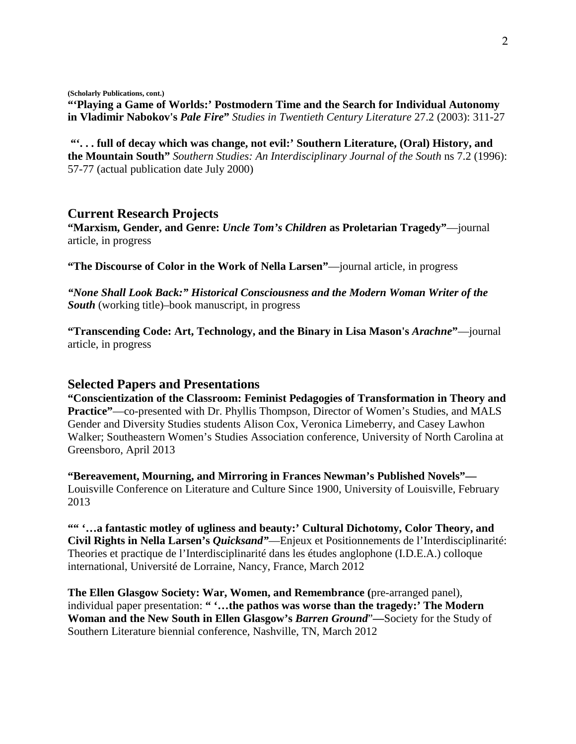**(Scholarly Publications, cont.)**

**"'Playing a Game of Worlds:' Postmodern Time and the Search for Individual Autonomy in Vladimir Nabokov's** *Pale Fire***"** *Studies in Twentieth Century Literature* 27.2 (2003): 311-27

**"'. . . full of decay which was change, not evil:' Southern Literature, (Oral) History, and the Mountain South"** *Southern Studies: An Interdisciplinary Journal of the South* ns 7.2 (1996): 57-77 (actual publication date July 2000)

#### **Current Research Projects**

**"Marxism, Gender, and Genre:** *Uncle Tom's Children* **as Proletarian Tragedy"**—journal article, in progress

**"The Discourse of Color in the Work of Nella Larsen"**—journal article, in progress

*"None Shall Look Back:" Historical Consciousness and the Modern Woman Writer of the South* (working title)–book manuscript, in progress

**"Transcending Code: Art, Technology, and the Binary in Lisa Mason's** *Arachne***"**—journal article, in progress

#### **Selected Papers and Presentations**

**"Conscientization of the Classroom: Feminist Pedagogies of Transformation in Theory and Practice"**—co-presented with Dr. Phyllis Thompson, Director of Women's Studies, and MALS Gender and Diversity Studies students Alison Cox, Veronica Limeberry, and Casey Lawhon Walker; Southeastern Women's Studies Association conference, University of North Carolina at Greensboro, April 2013

**"Bereavement, Mourning, and Mirroring in Frances Newman's Published Novels"—** Louisville Conference on Literature and Culture Since 1900, University of Louisville, February 2013

**"" '…a fantastic motley of ugliness and beauty:' Cultural Dichotomy, Color Theory, and Civil Rights in Nella Larsen's** *Quicksand"*—Enjeux et Positionnements de l'Interdisciplinarité: Theories et practique de l'Interdisciplinarité dans les études anglophone (I.D.E.A.) colloque international, Université de Lorraine, Nancy, France, March 2012

**The Ellen Glasgow Society: War, Women, and Remembrance (**pre-arranged panel), individual paper presentation: **" '…the pathos was worse than the tragedy:' The Modern Woman and the New South in Ellen Glasgow's** *Barren Ground*"**—**Society for the Study of Southern Literature biennial conference, Nashville, TN, March 2012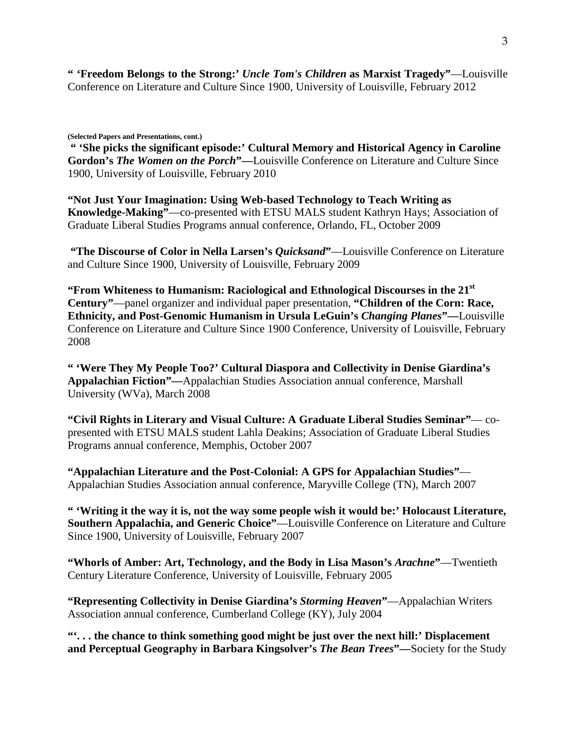**" 'Freedom Belongs to the Strong:'** *Uncle Tom's Children* **as Marxist Tragedy"**—Louisville Conference on Literature and Culture Since 1900, University of Louisville, February 2012

**(Selected Papers and Presentations, cont.)**

**" 'She picks the significant episode:' Cultural Memory and Historical Agency in Caroline Gordon's** *The Women on the Porch***"—**Louisville Conference on Literature and Culture Since 1900, University of Louisville, February 2010

**"Not Just Your Imagination: Using Web-based Technology to Teach Writing as Knowledge-Making"**—co-presented with ETSU MALS student Kathryn Hays; Association of Graduate Liberal Studies Programs annual conference, Orlando, FL, October 2009

**"The Discourse of Color in Nella Larsen's** *Quicksand***"**—Louisville Conference on Literature and Culture Since 1900, University of Louisville, February 2009

**"From Whiteness to Humanism: Raciological and Ethnological Discourses in the 21st Century"**—panel organizer and individual paper presentation, **"Children of the Corn: Race, Ethnicity, and Post-Genomic Humanism in Ursula LeGuin's** *Changing Planes***"—**Louisville Conference on Literature and Culture Since 1900 Conference, University of Louisville, February 2008

**" 'Were They My People Too?' Cultural Diaspora and Collectivity in Denise Giardina's Appalachian Fiction"—**Appalachian Studies Association annual conference, Marshall University (WVa), March 2008

**"Civil Rights in Literary and Visual Culture: A Graduate Liberal Studies Seminar"**— copresented with ETSU MALS student Lahla Deakins; Association of Graduate Liberal Studies Programs annual conference, Memphis, October 2007

**"Appalachian Literature and the Post-Colonial: A GPS for Appalachian Studies"**— Appalachian Studies Association annual conference, Maryville College (TN), March 2007

**" 'Writing it the way it is, not the way some people wish it would be:' Holocaust Literature, Southern Appalachia, and Generic Choice"**—Louisville Conference on Literature and Culture Since 1900, University of Louisville, February 2007

**"Whorls of Amber: Art, Technology, and the Body in Lisa Mason's** *Arachne***"—Twentieth** Century Literature Conference, University of Louisville, February 2005

**"Representing Collectivity in Denise Giardina's** *Storming Heaven***"**—Appalachian Writers Association annual conference, Cumberland College (KY), July 2004

**"'. . . the chance to think something good might be just over the next hill:' Displacement and Perceptual Geography in Barbara Kingsolver's** *The Bean Trees***"—**Society for the Study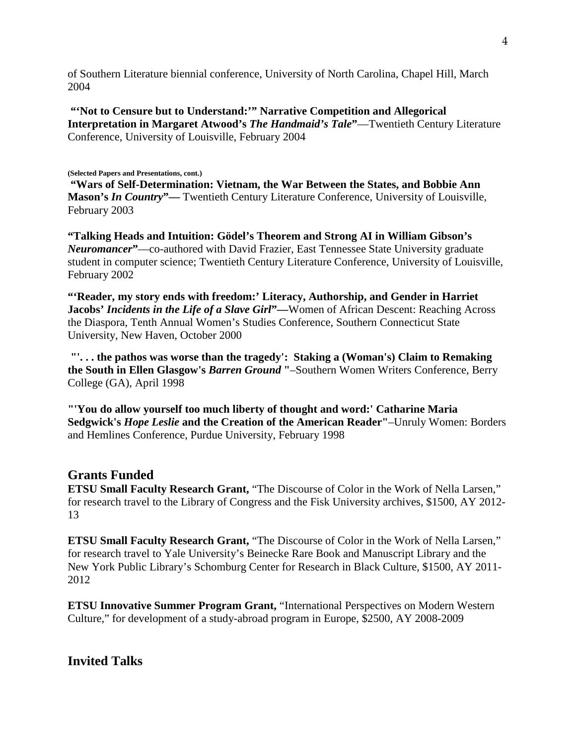of Southern Literature biennial conference, University of North Carolina, Chapel Hill, March 2004

**"'Not to Censure but to Understand:'" Narrative Competition and Allegorical Interpretation in Margaret Atwood's** *The Handmaid's Tale***"**—Twentieth Century Literature Conference, University of Louisville, February 2004

#### **(Selected Papers and Presentations, cont.)**

**"Wars of Self-Determination: Vietnam, the War Between the States, and Bobbie Ann Mason's** *In Country***"—** Twentieth Century Literature Conference, University of Louisville, February 2003

**"Talking Heads and Intuition: Gödel's Theorem and Strong AI in William Gibson's**  *Neuromancer***"**—co-authored with David Frazier, East Tennessee State University graduate student in computer science; Twentieth Century Literature Conference, University of Louisville, February 2002

**"'Reader, my story ends with freedom:' Literacy, Authorship, and Gender in Harriet Jacobs'** *Incidents in the Life of a Slave Girl***"—**Women of African Descent: Reaching Across the Diaspora, Tenth Annual Women's Studies Conference, Southern Connecticut State University, New Haven, October 2000

**"'. . . the pathos was worse than the tragedy': Staking a (Woman's) Claim to Remaking the South in Ellen Glasgow's** *Barren Ground* **"**–Southern Women Writers Conference, Berry College (GA), April 1998

**"'You do allow yourself too much liberty of thought and word:' Catharine Maria Sedgwick's** *Hope Leslie* **and the Creation of the American Reader"**–Unruly Women: Borders and Hemlines Conference, Purdue University, February 1998

## **Grants Funded**

**ETSU Small Faculty Research Grant, "The Discourse of Color in the Work of Nella Larsen,"** for research travel to the Library of Congress and the Fisk University archives, \$1500, AY 2012- 13

**ETSU Small Faculty Research Grant, "The Discourse of Color in the Work of Nella Larsen,"** for research travel to Yale University's Beinecke Rare Book and Manuscript Library and the New York Public Library's Schomburg Center for Research in Black Culture, \$1500, AY 2011- 2012

**ETSU Innovative Summer Program Grant,** "International Perspectives on Modern Western Culture," for development of a study-abroad program in Europe, \$2500, AY 2008-2009

**Invited Talks**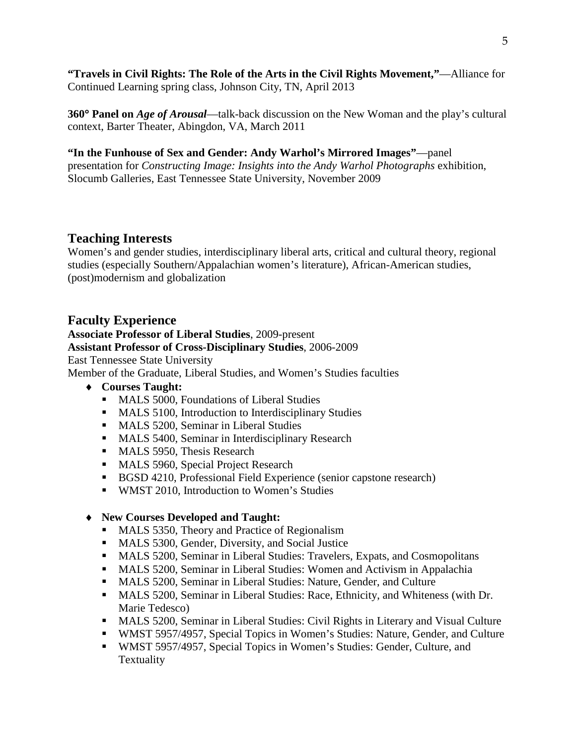**"Travels in Civil Rights: The Role of the Arts in the Civil Rights Movement,"**—Alliance for Continued Learning spring class, Johnson City, TN, April 2013

**360**° **Panel on** *Age of Arousal*—talk-back discussion on the New Woman and the play's cultural context, Barter Theater, Abingdon, VA, March 2011

## **"In the Funhouse of Sex and Gender: Andy Warhol's Mirrored Images"**—panel presentation for *Constructing Image: Insights into the Andy Warhol Photographs* exhibition,

Slocumb Galleries, East Tennessee State University, November 2009

# **Teaching Interests**

Women's and gender studies, interdisciplinary liberal arts, critical and cultural theory, regional studies (especially Southern/Appalachian women's literature), African-American studies, (post)modernism and globalization

# **Faculty Experience**

# **Associate Professor of Liberal Studies**, 2009-present **Assistant Professor of Cross-Disciplinary Studies**, 2006-2009 East Tennessee State University

Member of the Graduate, Liberal Studies, and Women's Studies faculties

- ♦ **Courses Taught:**
	- **MALS 5000, Foundations of Liberal Studies**
	- **MALS 5100, Introduction to Interdisciplinary Studies**
	- **MALS 5200, Seminar in Liberal Studies**
	- **MALS 5400, Seminar in Interdisciplinary Research**
	- **MALS 5950, Thesis Research**
	- **MALS 5960, Special Project Research**
	- BGSD 4210, Professional Field Experience (senior capstone research)
	- **WMST 2010, Introduction to Women's Studies**

# ♦ **New Courses Developed and Taught:**

- MALS 5350, Theory and Practice of Regionalism
- **MALS 5300, Gender, Diversity, and Social Justice**
- MALS 5200, Seminar in Liberal Studies: Travelers, Expats, and Cosmopolitans
- MALS 5200, Seminar in Liberal Studies: Women and Activism in Appalachia
- MALS 5200, Seminar in Liberal Studies: Nature, Gender, and Culture
- MALS 5200, Seminar in Liberal Studies: Race, Ethnicity, and Whiteness (with Dr. Marie Tedesco)
- MALS 5200, Seminar in Liberal Studies: Civil Rights in Literary and Visual Culture
- WMST 5957/4957, Special Topics in Women's Studies: Nature, Gender, and Culture
- WMST 5957/4957, Special Topics in Women's Studies: Gender, Culture, and Textuality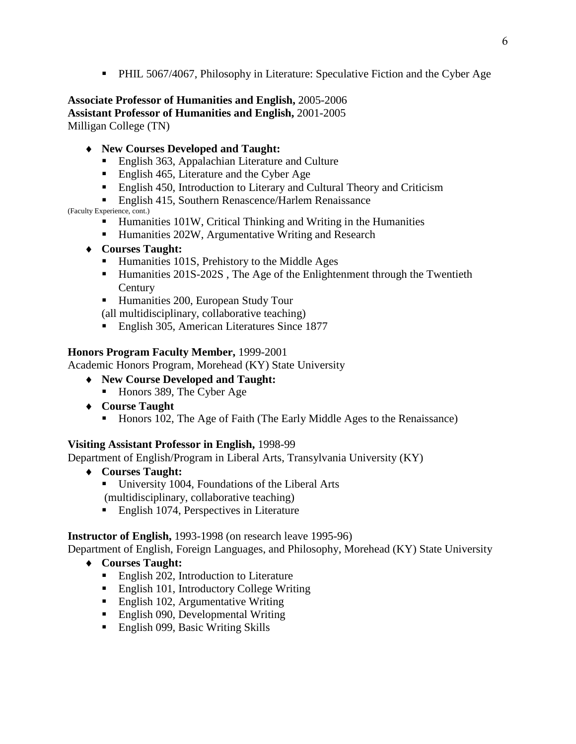PHIL 5067/4067, Philosophy in Literature: Speculative Fiction and the Cyber Age

**Associate Professor of Humanities and English,** 2005-2006 **Assistant Professor of Humanities and English,** 2001-2005 Milligan College (TN)

- ♦ **New Courses Developed and Taught:**
	- English 363, Appalachian Literature and Culture
	- English 465, Literature and the Cyber Age
	- **English 450, Introduction to Literary and Cultural Theory and Criticism**
	- **English 415, Southern Renascence/Harlem Renaissance**

(Faculty Experience, cont.)

- Humanities 101W, Critical Thinking and Writing in the Humanities
- Humanities 202W, Argumentative Writing and Research
- ♦ **Courses Taught:**
	- Humanities 101S, Prehistory to the Middle Ages
	- Humanities 201S-202S, The Age of the Enlightenment through the Twentieth **Century**
	- Humanities 200, European Study Tour

(all multidisciplinary, collaborative teaching)

■ English 305, American Literatures Since 1877

### **Honors Program Faculty Member,** 1999-2001

Academic Honors Program, Morehead (KY) State University

- ♦ **New Course Developed and Taught:**
	- Honors 389, The Cyber Age
- ♦ **Course Taught**
	- Honors 102, The Age of Faith (The Early Middle Ages to the Renaissance)

#### **Visiting Assistant Professor in English,** 1998-99

Department of English/Program in Liberal Arts, Transylvania University (KY)

- ♦ **Courses Taught:**
	- University 1004, Foundations of the Liberal Arts (multidisciplinary, collaborative teaching)
	- English 1074, Perspectives in Literature

**Instructor of English,** 1993-1998 (on research leave 1995-96)

Department of English, Foreign Languages, and Philosophy, Morehead (KY) State University

- ♦ **Courses Taught:**
	- English 202, Introduction to Literature
	- **English 101, Introductory College Writing**
	- **English 102, Argumentative Writing**
	- English 090, Developmental Writing
	- English 099, Basic Writing Skills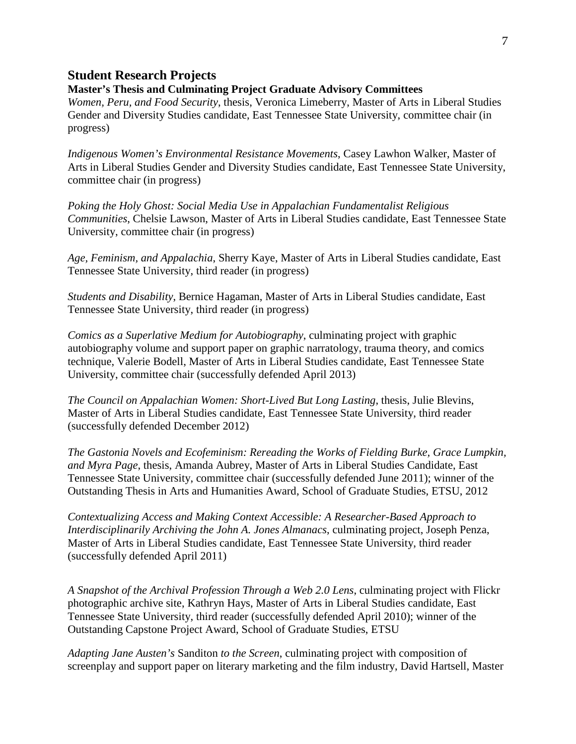#### **Student Research Projects**

#### **Master's Thesis and Culminating Project Graduate Advisory Committees**

*Women, Peru, and Food Security*, thesis, Veronica Limeberry, Master of Arts in Liberal Studies Gender and Diversity Studies candidate, East Tennessee State University, committee chair (in progress)

*Indigenous Women's Environmental Resistance Movements*, Casey Lawhon Walker, Master of Arts in Liberal Studies Gender and Diversity Studies candidate, East Tennessee State University, committee chair (in progress)

*Poking the Holy Ghost: Social Media Use in Appalachian Fundamentalist Religious Communities*, Chelsie Lawson, Master of Arts in Liberal Studies candidate, East Tennessee State University, committee chair (in progress)

*Age, Feminism, and Appalachia*, Sherry Kaye, Master of Arts in Liberal Studies candidate, East Tennessee State University, third reader (in progress)

*Students and Disability*, Bernice Hagaman, Master of Arts in Liberal Studies candidate, East Tennessee State University, third reader (in progress)

*Comics as a Superlative Medium for Autobiography*, culminating project with graphic autobiography volume and support paper on graphic narratology, trauma theory, and comics technique, Valerie Bodell, Master of Arts in Liberal Studies candidate, East Tennessee State University, committee chair (successfully defended April 2013)

*The Council on Appalachian Women: Short-Lived But Long Lasting*, thesis, Julie Blevins, Master of Arts in Liberal Studies candidate, East Tennessee State University, third reader (successfully defended December 2012)

*The Gastonia Novels and Ecofeminism: Rereading the Works of Fielding Burke, Grace Lumpkin, and Myra Page*, thesis, Amanda Aubrey, Master of Arts in Liberal Studies Candidate, East Tennessee State University, committee chair (successfully defended June 2011); winner of the Outstanding Thesis in Arts and Humanities Award, School of Graduate Studies, ETSU, 2012

*Contextualizing Access and Making Context Accessible: A Researcher-Based Approach to Interdisciplinarily Archiving the John A. Jones Almanacs*, culminating project, Joseph Penza, Master of Arts in Liberal Studies candidate, East Tennessee State University, third reader (successfully defended April 2011)

*A Snapshot of the Archival Profession Through a Web 2.0 Lens*, culminating project with Flickr photographic archive site, Kathryn Hays, Master of Arts in Liberal Studies candidate, East Tennessee State University, third reader (successfully defended April 2010); winner of the Outstanding Capstone Project Award, School of Graduate Studies, ETSU

*Adapting Jane Austen's* Sanditon *to the Screen*, culminating project with composition of screenplay and support paper on literary marketing and the film industry, David Hartsell, Master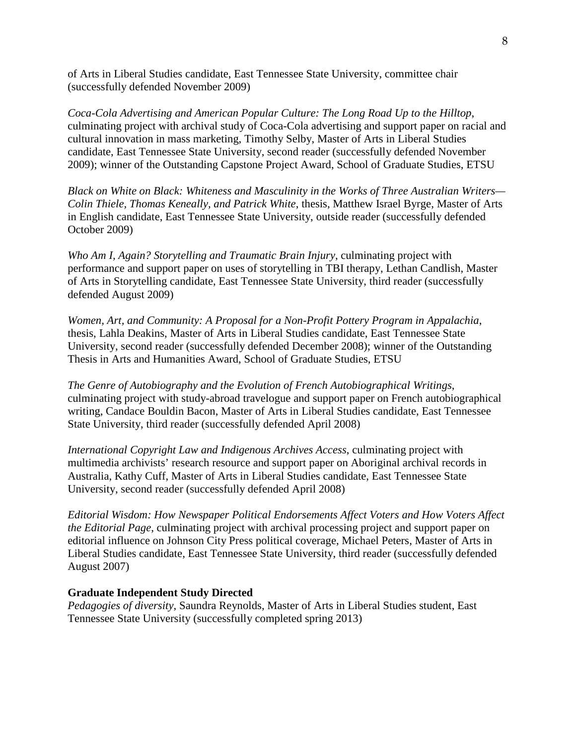of Arts in Liberal Studies candidate, East Tennessee State University, committee chair (successfully defended November 2009)

*Coca-Cola Advertising and American Popular Culture: The Long Road Up to the Hilltop*, culminating project with archival study of Coca-Cola advertising and support paper on racial and cultural innovation in mass marketing, Timothy Selby, Master of Arts in Liberal Studies candidate, East Tennessee State University, second reader (successfully defended November 2009); winner of the Outstanding Capstone Project Award, School of Graduate Studies, ETSU

*Black on White on Black: Whiteness and Masculinity in the Works of Three Australian Writers— Colin Thiele, Thomas Keneally, and Patrick White*, thesis, Matthew Israel Byrge, Master of Arts in English candidate, East Tennessee State University, outside reader (successfully defended October 2009)

*Who Am I, Again? Storytelling and Traumatic Brain Injury*, culminating project with performance and support paper on uses of storytelling in TBI therapy, Lethan Candlish, Master of Arts in Storytelling candidate, East Tennessee State University, third reader (successfully defended August 2009)

*Women, Art, and Community: A Proposal for a Non-Profit Pottery Program in Appalachia*, thesis, Lahla Deakins, Master of Arts in Liberal Studies candidate, East Tennessee State University, second reader (successfully defended December 2008); winner of the Outstanding Thesis in Arts and Humanities Award, School of Graduate Studies, ETSU

*The Genre of Autobiography and the Evolution of French Autobiographical Writings*, culminating project with study-abroad travelogue and support paper on French autobiographical writing, Candace Bouldin Bacon, Master of Arts in Liberal Studies candidate, East Tennessee State University, third reader (successfully defended April 2008)

*International Copyright Law and Indigenous Archives Access*, culminating project with multimedia archivists' research resource and support paper on Aboriginal archival records in Australia, Kathy Cuff, Master of Arts in Liberal Studies candidate, East Tennessee State University, second reader (successfully defended April 2008)

*Editorial Wisdom: How Newspaper Political Endorsements Affect Voters and How Voters Affect the Editorial Page*, culminating project with archival processing project and support paper on editorial influence on Johnson City Press political coverage, Michael Peters, Master of Arts in Liberal Studies candidate, East Tennessee State University, third reader (successfully defended August 2007)

#### **Graduate Independent Study Directed**

*Pedagogies of diversity*, Saundra Reynolds, Master of Arts in Liberal Studies student, East Tennessee State University (successfully completed spring 2013)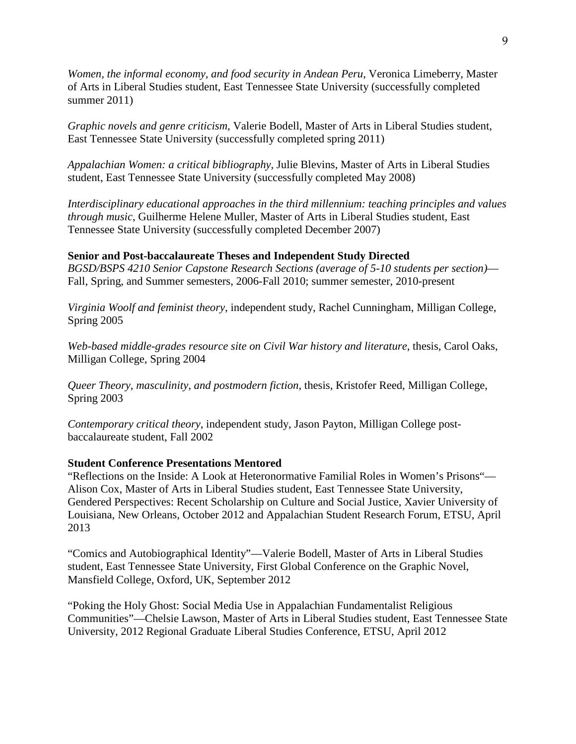*Women, the informal economy, and food security in Andean Peru*, Veronica Limeberry, Master of Arts in Liberal Studies student, East Tennessee State University (successfully completed summer 2011)

*Graphic novels and genre criticism,* Valerie Bodell, Master of Arts in Liberal Studies student, East Tennessee State University (successfully completed spring 2011)

*Appalachian Women: a critical bibliography,* Julie Blevins, Master of Arts in Liberal Studies student, East Tennessee State University (successfully completed May 2008)

*Interdisciplinary educational approaches in the third millennium: teaching principles and values through music*, Guilherme Helene Muller, Master of Arts in Liberal Studies student, East Tennessee State University (successfully completed December 2007)

#### **Senior and Post-baccalaureate Theses and Independent Study Directed**

*BGSD/BSPS 4210 Senior Capstone Research Sections (average of 5-10 students per section)*— Fall, Spring, and Summer semesters, 2006-Fall 2010; summer semester, 2010-present

*Virginia Woolf and feminist theory*, independent study, Rachel Cunningham, Milligan College, Spring 2005

*Web-based middle-grades resource site on Civil War history and literature*, thesis, Carol Oaks, Milligan College, Spring 2004

*Queer Theory, masculinity, and postmodern fiction*, thesis, Kristofer Reed, Milligan College, Spring 2003

*Contemporary critical theory*, independent study, Jason Payton, Milligan College postbaccalaureate student, Fall 2002

#### **Student Conference Presentations Mentored**

"Reflections on the Inside: A Look at Heteronormative Familial Roles in Women's Prisons"— Alison Cox, Master of Arts in Liberal Studies student, East Tennessee State University, Gendered Perspectives: Recent Scholarship on Culture and Social Justice, Xavier University of Louisiana, New Orleans, October 2012 and Appalachian Student Research Forum, ETSU, April 2013

"Comics and Autobiographical Identity"—Valerie Bodell, Master of Arts in Liberal Studies student, East Tennessee State University, First Global Conference on the Graphic Novel, Mansfield College, Oxford, UK, September 2012

"Poking the Holy Ghost: Social Media Use in Appalachian Fundamentalist Religious Communities"—Chelsie Lawson, Master of Arts in Liberal Studies student, East Tennessee State University, 2012 Regional Graduate Liberal Studies Conference, ETSU, April 2012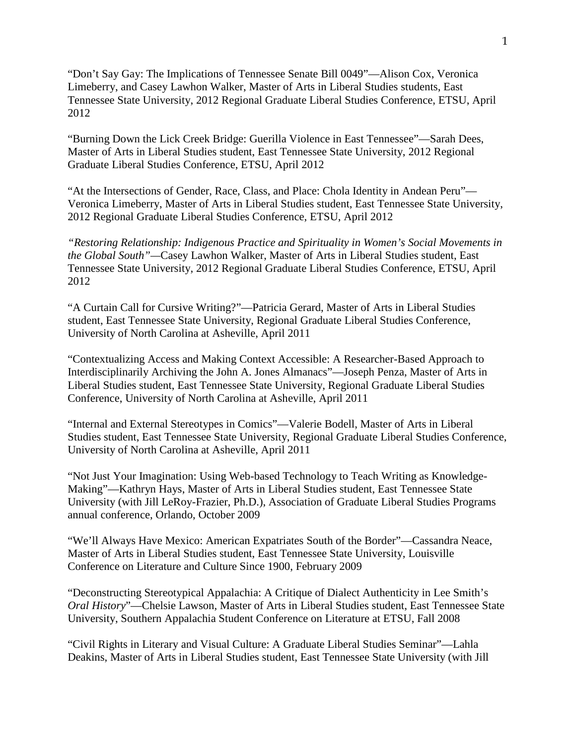"Don't Say Gay: The Implications of Tennessee Senate Bill 0049"—Alison Cox, Veronica Limeberry, and Casey Lawhon Walker, Master of Arts in Liberal Studies students, East Tennessee State University, 2012 Regional Graduate Liberal Studies Conference, ETSU, April 2012

"Burning Down the Lick Creek Bridge: Guerilla Violence in East Tennessee"—Sarah Dees, Master of Arts in Liberal Studies student, East Tennessee State University, 2012 Regional Graduate Liberal Studies Conference, ETSU, April 2012

"At the Intersections of Gender, Race, Class, and Place: Chola Identity in Andean Peru"— Veronica Limeberry, Master of Arts in Liberal Studies student, East Tennessee State University, 2012 Regional Graduate Liberal Studies Conference, ETSU, April 2012

*"Restoring Relationship: Indigenous Practice and Spirituality in Women's Social Movements in the Global South"—*Casey Lawhon Walker, Master of Arts in Liberal Studies student, East Tennessee State University, 2012 Regional Graduate Liberal Studies Conference, ETSU, April 2012

"A Curtain Call for Cursive Writing?"—Patricia Gerard, Master of Arts in Liberal Studies student, East Tennessee State University, Regional Graduate Liberal Studies Conference, University of North Carolina at Asheville, April 2011

"Contextualizing Access and Making Context Accessible: A Researcher-Based Approach to Interdisciplinarily Archiving the John A. Jones Almanacs"—Joseph Penza, Master of Arts in Liberal Studies student, East Tennessee State University, Regional Graduate Liberal Studies Conference, University of North Carolina at Asheville, April 2011

"Internal and External Stereotypes in Comics"—Valerie Bodell, Master of Arts in Liberal Studies student, East Tennessee State University, Regional Graduate Liberal Studies Conference, University of North Carolina at Asheville, April 2011

"Not Just Your Imagination: Using Web-based Technology to Teach Writing as Knowledge-Making"—Kathryn Hays, Master of Arts in Liberal Studies student, East Tennessee State University (with Jill LeRoy-Frazier, Ph.D.), Association of Graduate Liberal Studies Programs annual conference, Orlando, October 2009

"We'll Always Have Mexico: American Expatriates South of the Border"—Cassandra Neace, Master of Arts in Liberal Studies student, East Tennessee State University, Louisville Conference on Literature and Culture Since 1900, February 2009

"Deconstructing Stereotypical Appalachia: A Critique of Dialect Authenticity in Lee Smith's *Oral History*"—Chelsie Lawson, Master of Arts in Liberal Studies student, East Tennessee State University, Southern Appalachia Student Conference on Literature at ETSU, Fall 2008

"Civil Rights in Literary and Visual Culture: A Graduate Liberal Studies Seminar"—Lahla Deakins, Master of Arts in Liberal Studies student, East Tennessee State University (with Jill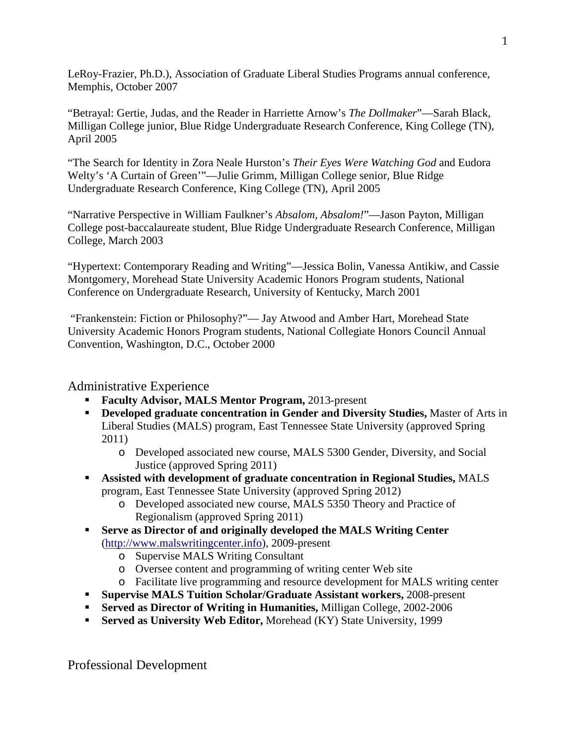LeRoy-Frazier, Ph.D.), Association of Graduate Liberal Studies Programs annual conference, Memphis, October 2007

"Betrayal: Gertie, Judas, and the Reader in Harriette Arnow's *The Dollmaker*"—Sarah Black, Milligan College junior, Blue Ridge Undergraduate Research Conference, King College (TN), April 2005

"The Search for Identity in Zora Neale Hurston's *Their Eyes Were Watching God* and Eudora Welty's 'A Curtain of Green'"—Julie Grimm, Milligan College senior, Blue Ridge Undergraduate Research Conference, King College (TN), April 2005

"Narrative Perspective in William Faulkner's *Absalom, Absalom!*"—Jason Payton, Milligan College post-baccalaureate student, Blue Ridge Undergraduate Research Conference, Milligan College, March 2003

"Hypertext: Contemporary Reading and Writing"—Jessica Bolin, Vanessa Antikiw, and Cassie Montgomery, Morehead State University Academic Honors Program students, National Conference on Undergraduate Research, University of Kentucky, March 2001

"Frankenstein: Fiction or Philosophy?"— Jay Atwood and Amber Hart, Morehead State University Academic Honors Program students, National Collegiate Honors Council Annual Convention, Washington, D.C., October 2000

Administrative Experience

- **Faculty Advisor, MALS Mentor Program,** 2013-present
- **Developed graduate concentration in Gender and Diversity Studies,** Master of Arts in Liberal Studies (MALS) program, East Tennessee State University (approved Spring 2011)
	- o Developed associated new course, MALS 5300 Gender, Diversity, and Social Justice (approved Spring 2011)
- **Assisted with development of graduate concentration in Regional Studies,** MALS program, East Tennessee State University (approved Spring 2012)
	- o Developed associated new course, MALS 5350 Theory and Practice of Regionalism (approved Spring 2011)
- **Serve as Director of and originally developed the MALS Writing Center**  [\(http://www.malswritingcenter.info\)](http://www.malswritingcenter.info/), 2009-present
	- o Supervise MALS Writing Consultant
	- o Oversee content and programming of writing center Web site
	- o Facilitate live programming and resource development for MALS writing center
- **Supervise MALS Tuition Scholar/Graduate Assistant workers,** 2008-present
- **Served as Director of Writing in Humanities,** Milligan College, 2002-2006
- **Served as University Web Editor, Morehead (KY) State University, 1999**

Professional Development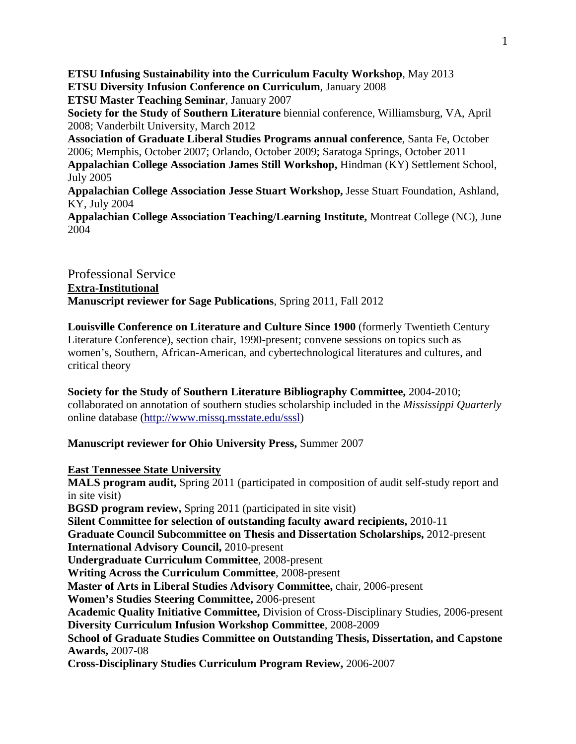**ETSU Infusing Sustainability into the Curriculum Faculty Workshop**, May 2013 **ETSU Diversity Infusion Conference on Curriculum**, January 2008 **ETSU Master Teaching Seminar**, January 2007 **Society for the Study of Southern Literature** biennial conference, Williamsburg, VA, April 2008; Vanderbilt University, March 2012 **Association of Graduate Liberal Studies Programs annual conference**, Santa Fe, October 2006; Memphis, October 2007; Orlando, October 2009; Saratoga Springs, October 2011 **Appalachian College Association James Still Workshop,** Hindman (KY) Settlement School, July 2005 **Appalachian College Association Jesse Stuart Workshop,** Jesse Stuart Foundation, Ashland, KY, July 2004 **Appalachian College Association Teaching/Learning Institute,** Montreat College (NC), June 2004

Professional Service **Extra-Institutional Manuscript reviewer for Sage Publications**, Spring 2011, Fall 2012

**Louisville Conference on Literature and Culture Since 1900** (formerly Twentieth Century Literature Conference), section chair, 1990-present; convene sessions on topics such as women's, Southern, African-American, and cybertechnological literatures and cultures, and critical theory

**Society for the Study of Southern Literature Bibliography Committee,** 2004-2010; collaborated on annotation of southern studies scholarship included in the *Mississippi Quarterly* online database [\(http://www.missq.msstate.edu/sssl\)](http://www.missq.msstate.edu/sssl)

#### **Manuscript reviewer for Ohio University Press,** Summer 2007

**East Tennessee State University**

**MALS program audit,** Spring 2011 (participated in composition of audit self-study report and in site visit)

**BGSD program review,** Spring 2011 (participated in site visit)

**Silent Committee for selection of outstanding faculty award recipients,** 2010-11

**Graduate Council Subcommittee on Thesis and Dissertation Scholarships,** 2012-present

**International Advisory Council,** 2010-present

**Undergraduate Curriculum Committee**, 2008-present

**Writing Across the Curriculum Committee**, 2008-present

**Master of Arts in Liberal Studies Advisory Committee,** chair, 2006-present

**Women's Studies Steering Committee,** 2006-present

**Academic Quality Initiative Committee,** Division of Cross-Disciplinary Studies, 2006-present **Diversity Curriculum Infusion Workshop Committee**, 2008-2009

**School of Graduate Studies Committee on Outstanding Thesis, Dissertation, and Capstone Awards,** 2007-08

**Cross-Disciplinary Studies Curriculum Program Review,** 2006-2007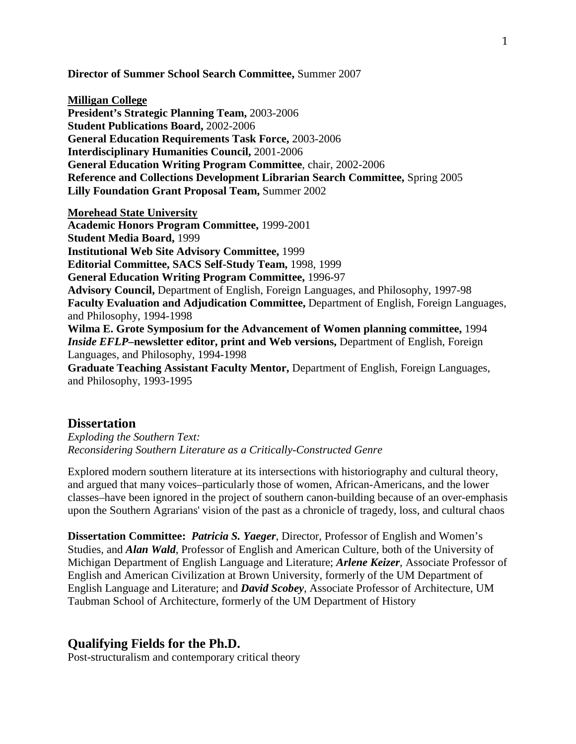**Director of Summer School Search Committee,** Summer 2007

**Milligan College President's Strategic Planning Team,** 2003-2006 **Student Publications Board,** 2002-2006 **General Education Requirements Task Force,** 2003-2006 **Interdisciplinary Humanities Council,** 2001-2006 **General Education Writing Program Committee**, chair, 2002-2006 **Reference and Collections Development Librarian Search Committee,** Spring 2005 **Lilly Foundation Grant Proposal Team,** Summer 2002

**Morehead State University Academic Honors Program Committee,** 1999-2001 **Student Media Board,** 1999 **Institutional Web Site Advisory Committee,** 1999 **Editorial Committee, SACS Self-Study Team,** 1998, 1999 **General Education Writing Program Committee,** 1996-97 **Advisory Council,** Department of English, Foreign Languages, and Philosophy, 1997-98 **Faculty Evaluation and Adjudication Committee,** Department of English, Foreign Languages, and Philosophy, 1994-1998 **Wilma E. Grote Symposium for the Advancement of Women planning committee,** 1994 *Inside EFLP***–newsletter editor, print and Web versions,** Department of English, Foreign Languages, and Philosophy, 1994-1998 **Graduate Teaching Assistant Faculty Mentor,** Department of English, Foreign Languages,

and Philosophy, 1993-1995

### **Dissertation**

*Exploding the Southern Text: Reconsidering Southern Literature as a Critically-Constructed Genre*

Explored modern southern literature at its intersections with historiography and cultural theory, and argued that many voices–particularly those of women, African-Americans, and the lower classes–have been ignored in the project of southern canon-building because of an over-emphasis upon the Southern Agrarians' vision of the past as a chronicle of tragedy, loss, and cultural chaos

**Dissertation Committee:** *Patricia S. Yaeger*, Director, Professor of English and Women's Studies, and *Alan Wald*, Professor of English and American Culture, both of the University of Michigan Department of English Language and Literature; *Arlene Keizer*, Associate Professor of English and American Civilization at Brown University, formerly of the UM Department of English Language and Literature; and *David Scobey*, Associate Professor of Architecture, UM Taubman School of Architecture, formerly of the UM Department of History

#### **Qualifying Fields for the Ph.D.**

Post-structuralism and contemporary critical theory